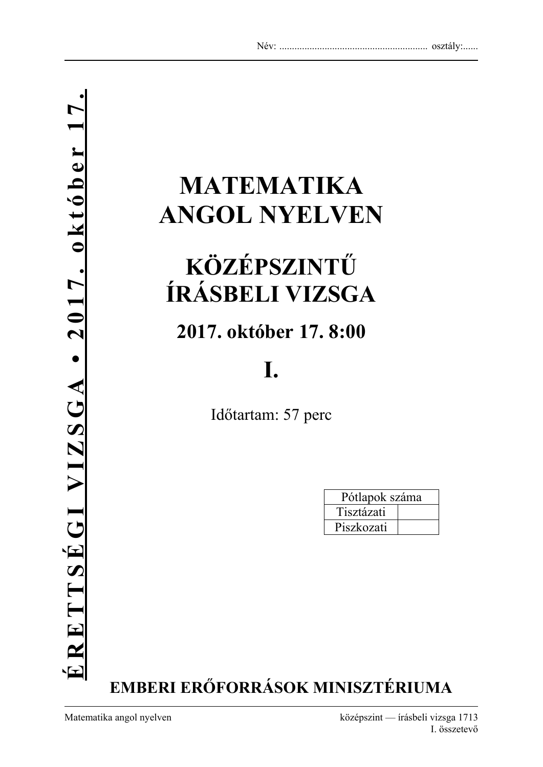# **MATEMATIKA ANGOL NYELVEN**

## **KÖZÉPSZINTŰ ÍRÁSBELI VIZSGA**

### **2017. október 17. 8:00**

## **I.**

Időtartam: 57 perc

| Pótlapok száma |  |
|----------------|--|
| Tisztázati     |  |
| Piszkozati     |  |

**EMBERI ERŐFORRÁSOK MINISZTÉRIUMA**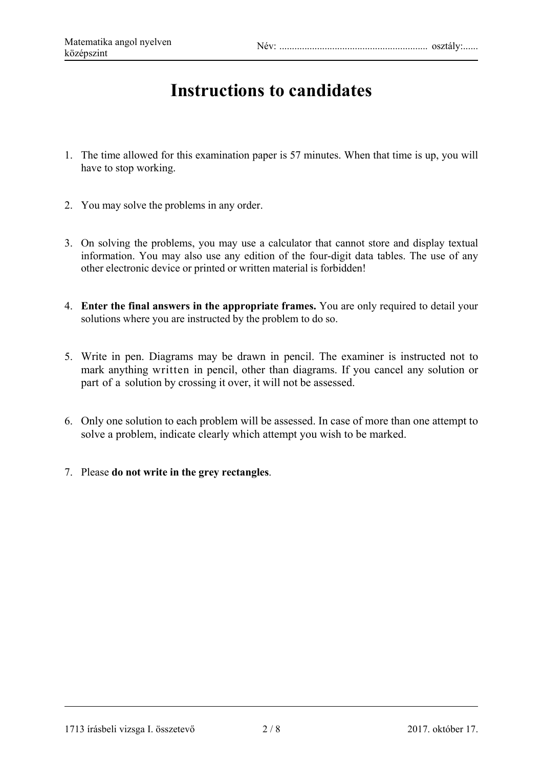### **Instructions to candidates**

- 1. The time allowed for this examination paper is 57 minutes. When that time is up, you will have to stop working.
- 2. You may solve the problems in any order.
- 3. On solving the problems, you may use a calculator that cannot store and display textual information. You may also use any edition of the four-digit data tables. The use of any other electronic device or printed or written material is forbidden!
- 4. **Enter the final answers in the appropriate frames.** You are only required to detail your solutions where you are instructed by the problem to do so.
- 5. Write in pen. Diagrams may be drawn in pencil. The examiner is instructed not to mark anything written in pencil, other than diagrams. If you cancel any solution or part of a solution by crossing it over, it will not be assessed.
- 6. Only one solution to each problem will be assessed. In case of more than one attempt to solve a problem, indicate clearly which attempt you wish to be marked.
- 7. Please **do not write in the grey rectangles**.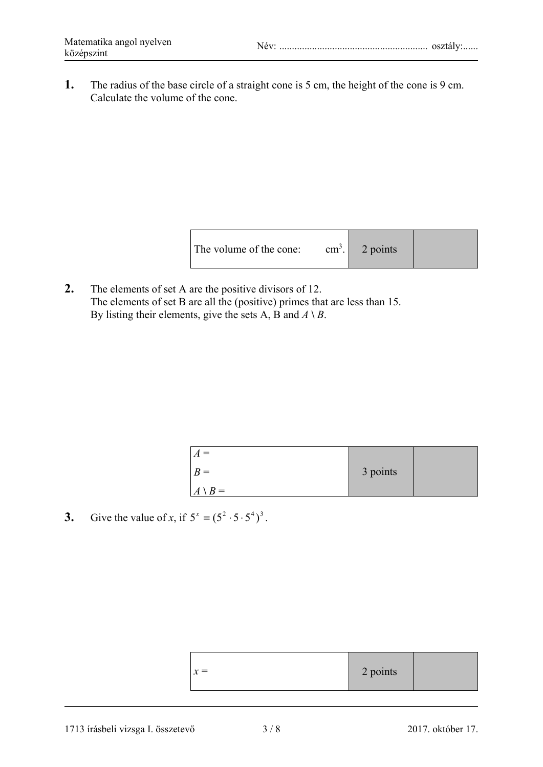**1.** The radius of the base circle of a straight cone is 5 cm, the height of the cone is 9 cm. Calculate the volume of the cone.

| The volume of the cone: |  | cm <sup>3</sup> . $\boxed{2 \text{ points}}$ |  |
|-------------------------|--|----------------------------------------------|--|
|-------------------------|--|----------------------------------------------|--|

**2.** The elements of set A are the positive divisors of 12. The elements of set B are all the (positive) primes that are less than 15. By listing their elements, give the sets A, B and  $A \setminus B$ .

| $A =$          |          |  |
|----------------|----------|--|
| $B =$          | 3 points |  |
| $\dot{=}$<br>к |          |  |

**3.** Give the value of *x*, if  $5^x = (5^2 \cdot 5 \cdot 5^4)^3$ .

|  | 2 points |  |
|--|----------|--|
|--|----------|--|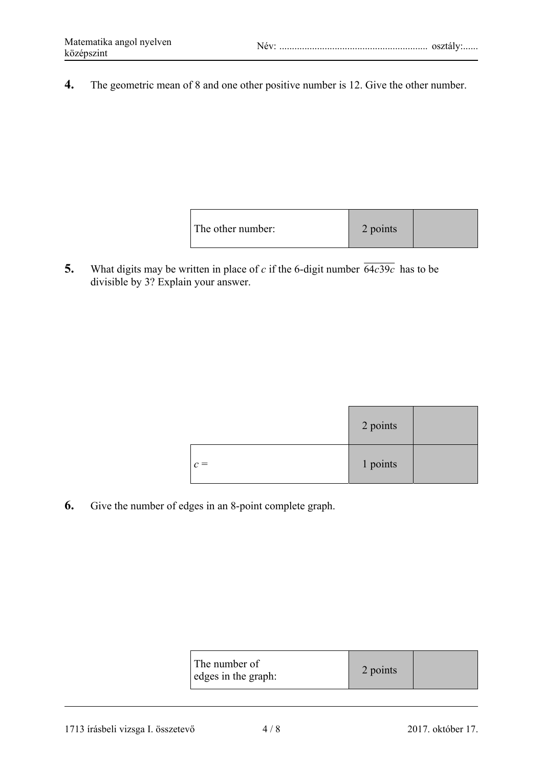**4.** The geometric mean of 8 and one other positive number is 12. Give the other number.

| The other number: | 2 points |  |
|-------------------|----------|--|
|-------------------|----------|--|

**5.** What digits may be written in place of *c* if the 6-digit number  $\overline{64c39c}$  has to be divisible by 3? Explain your answer.

|       | 2 points |  |
|-------|----------|--|
| $c =$ | 1 points |  |

**6.** Give the number of edges in an 8-point complete graph.

| The number of<br>edges in the graph: | 2 points |  |
|--------------------------------------|----------|--|
|--------------------------------------|----------|--|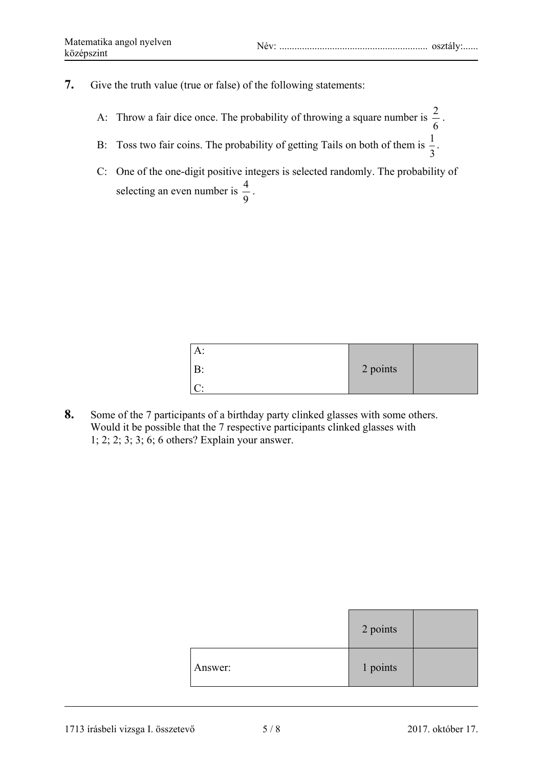- **7.** Give the truth value (true or false) of the following statements:
	- A: Throw a fair dice once. The probability of throwing a square number is 6  $\frac{2}{5}$ .
	- B: Toss two fair coins. The probability of getting Tails on both of them is 3  $\frac{1}{2}$ .
	- C: One of the one-digit positive integers is selected randomly. The probability of selecting an even number is  $\frac{4}{9}$ .

| А: |          |  |
|----|----------|--|
|    | 2 points |  |
|    |          |  |

**8.** Some of the 7 participants of a birthday party clinked glasses with some others. Would it be possible that the 7 respective participants clinked glasses with 1; 2; 2; 3; 3; 6; 6 others? Explain your answer.

|         | 2 points |  |
|---------|----------|--|
| Answer: | 1 points |  |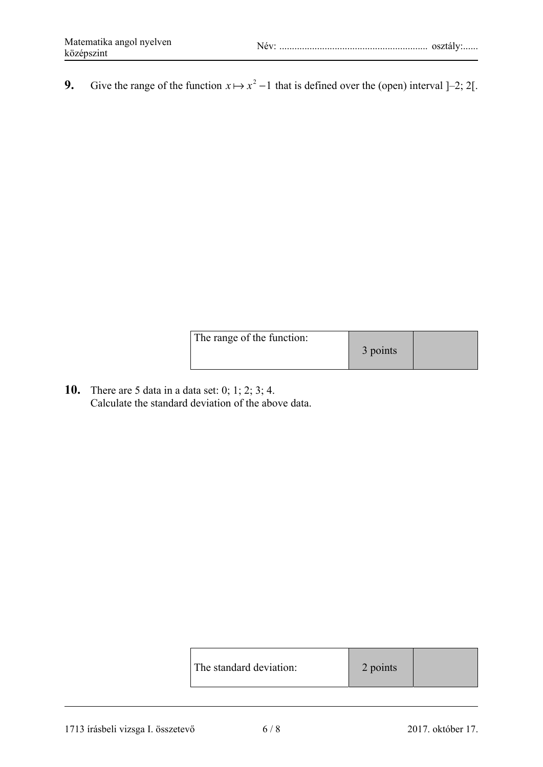9. Give the range of the function  $x \mapsto x^2 - 1$  that is defined over the (open) interval  $]-2; 2[$ .

| The range of the function: | 3 points |  |
|----------------------------|----------|--|
|                            |          |  |

**10.** There are 5 data in a data set: 0; 1; 2; 3; 4. Calculate the standard deviation of the above data.

| The standard deviation: | 2 points |  |  |
|-------------------------|----------|--|--|
|-------------------------|----------|--|--|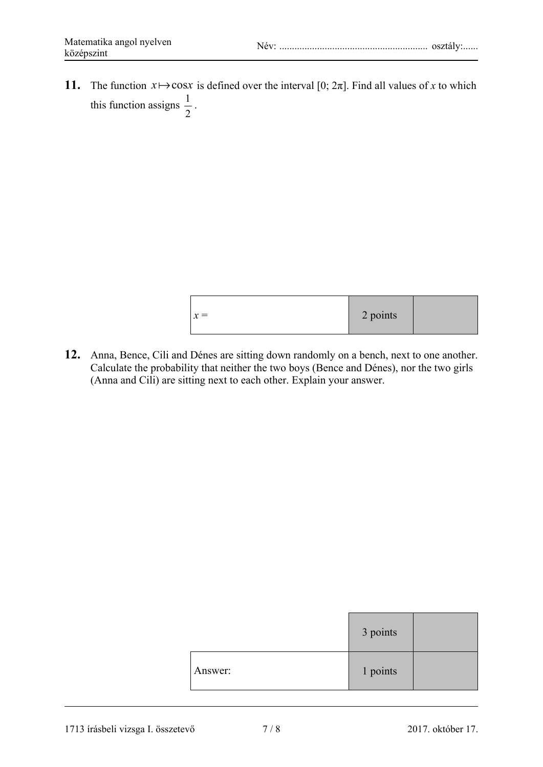**11.** The function  $x \mapsto \cos x$  is defined over the interval [0;  $2\pi$ ]. Find all values of *x* to which this function assigns  $\frac{1}{2}$ .

| $x =$ | 2 points |  |
|-------|----------|--|
|-------|----------|--|

**12.** Anna, Bence, Cili and Dénes are sitting down randomly on a bench, next to one another. Calculate the probability that neither the two boys (Bence and Dénes), nor the two girls (Anna and Cili) are sitting next to each other. Explain your answer.

|         | 3 points |  |
|---------|----------|--|
| Answer: | 1 points |  |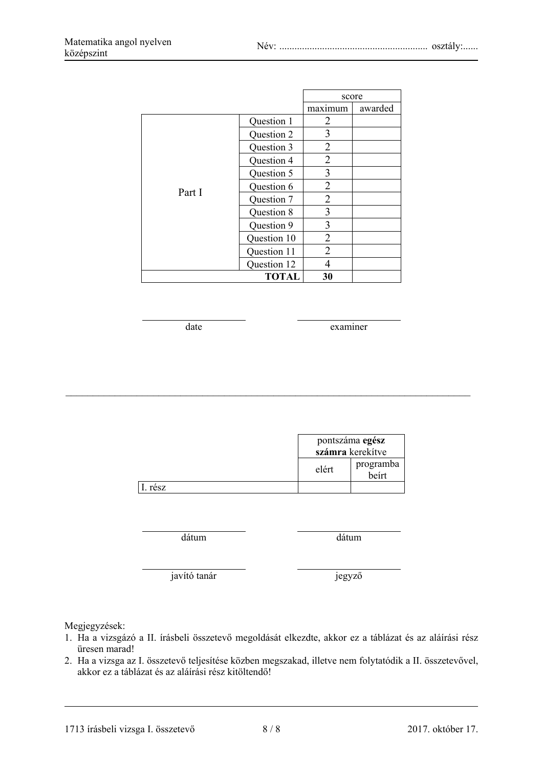|        |              | score          |         |
|--------|--------------|----------------|---------|
|        |              | maximum        | awarded |
|        | Question 1   | 2              |         |
|        | Question 2   | 3              |         |
|        | Question 3   | $\overline{2}$ |         |
|        | Question 4   | 2              |         |
|        | Question 5   | 3              |         |
| Part I | Question 6   | 2              |         |
|        | Question 7   | $\overline{2}$ |         |
|        | Question 8   | 3              |         |
|        | Question 9   | 3              |         |
|        | Question 10  | 2              |         |
|        | Question 11  | 2              |         |
|        | Question 12  | 4              |         |
|        | <b>TOTAL</b> | 30             |         |

date examiner

|        | pontszáma egész<br>számra kerekítve |                    |  |  |
|--------|-------------------------------------|--------------------|--|--|
|        | elért                               | programba<br>beirt |  |  |
| . rész |                                     |                    |  |  |

dátum dátum dátum dátum dátum dátum dátum dátum dátum dátum dátum dátum dátum dátum dátum dátum dátum dátum dátum dátum dátum dátum dátum dátum dátum dátum dátum dátum dátum dátum dátum dátum dátum dátum dátum dátum dátum

javító tanár jegyző

Megjegyzések:

- 1. Ha a vizsgázó a II. írásbeli összetevő megoldását elkezdte, akkor ez a táblázat és az aláírási rész üresen marad!
- 2. Ha a vizsga az I. összetevő teljesítése közben megszakad, illetve nem folytatódik a II. összetevővel, akkor ez a táblázat és az aláírási rész kitöltendő!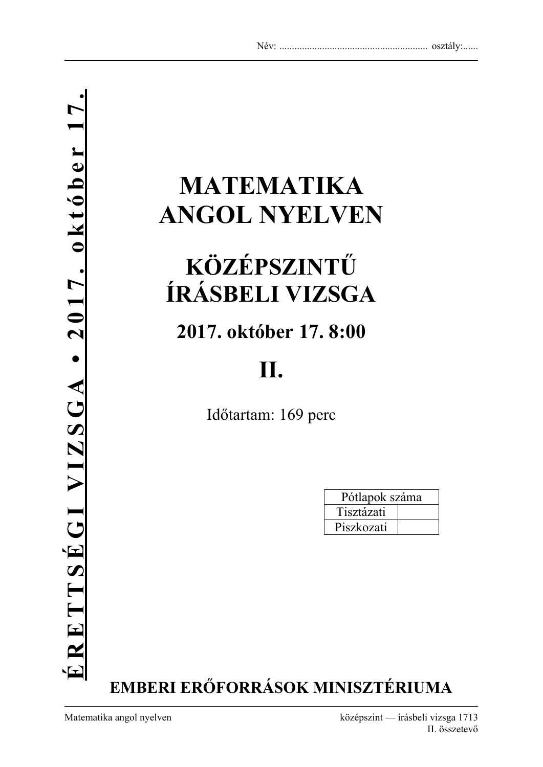# **MATEMATIKA ANGOL NYELVEN**

## **KÖZÉPSZINTŰ ÍRÁSBELI VIZSGA**

### **2017. október 17. 8:00**

## **II.**

Időtartam: 169 perc

| Pótlapok száma |  |  |  |  |  |  |  |
|----------------|--|--|--|--|--|--|--|
| Tisztázati     |  |  |  |  |  |  |  |
| Piszkozati     |  |  |  |  |  |  |  |

**EMBERI ERŐFORRÁSOK MINISZTÉRIUMA**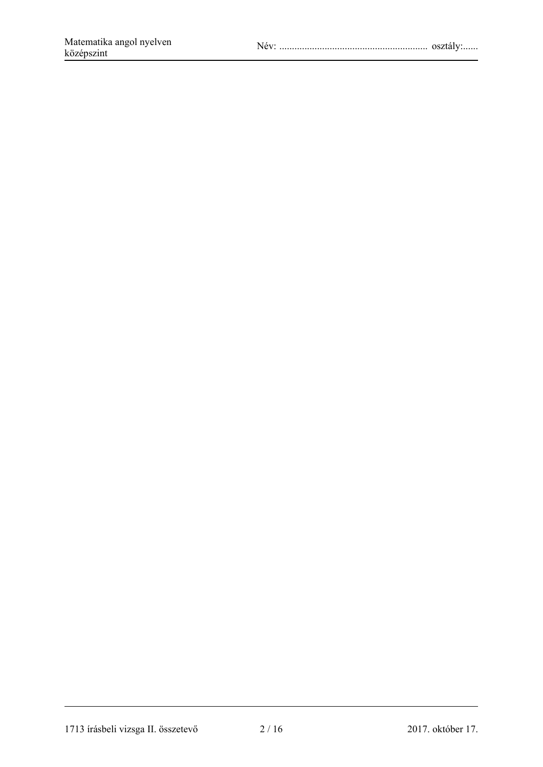1713 írásbeli vizsga II. összetevő 2 / 16 2017. október 17.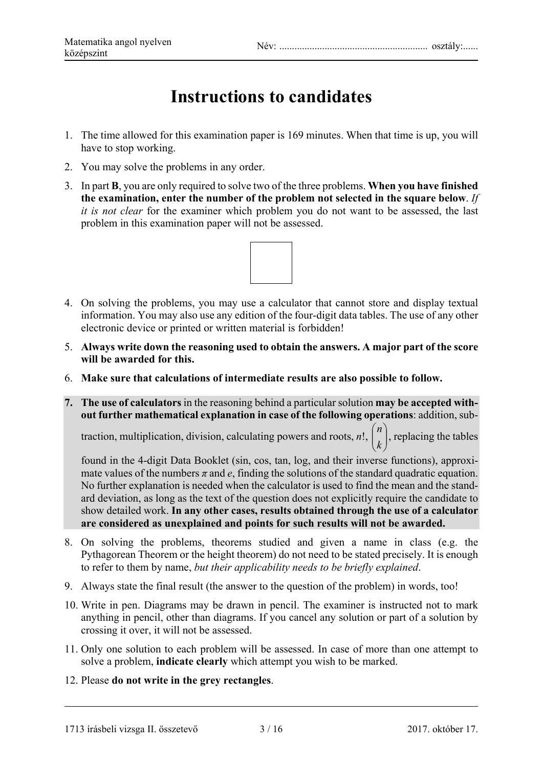#### **Instructions to candidates**

- 1. The time allowed for this examination paper is 169 minutes. When that time is up, you will have to stop working.
- 2. You may solve the problems in any order.
- 3. In part **B**, you are only required to solve two of the three problems. **When you have finished the examination, enter the number of the problem not selected in the square below**. *If it is not clear* for the examiner which problem you do not want to be assessed, the last problem in this examination paper will not be assessed.



- 4. On solving the problems, you may use a calculator that cannot store and display textual information. You may also use any edition of the four-digit data tables. The use of any other electronic device or printed or written material is forbidden!
- 5. **Always write down the reasoning used to obtain the answers. A major part of the score will be awarded for this.**
- 6. **Make sure that calculations of intermediate results are also possible to follow.**
- **7. The use of calculators** in the reasoning behind a particular solution **may be accepted without further mathematical explanation in case of the following operations**: addition, sub-

traction, multiplication, division, calculating powers and roots,  $n!$ ,  $\begin{bmatrix} n \\ k \end{bmatrix}$  $\overline{\phantom{a}}$  $\backslash$  $\overline{\phantom{a}}$  $\overline{\mathcal{L}}$ ſ *k n* , replacing the tables

found in the 4-digit Data Booklet (sin, cos, tan, log, and their inverse functions), approximate values of the numbers  $\pi$  and  $e$ , finding the solutions of the standard quadratic equation. No further explanation is needed when the calculator is used to find the mean and the standard deviation, as long as the text of the question does not explicitly require the candidate to show detailed work. **In any other cases, results obtained through the use of a calculator are considered as unexplained and points for such results will not be awarded.** 

- 8. On solving the problems, theorems studied and given a name in class (e.g. the Pythagorean Theorem or the height theorem) do not need to be stated precisely. It is enough to refer to them by name, *but their applicability needs to be briefly explained*.
- 9. Always state the final result (the answer to the question of the problem) in words, too!
- 10. Write in pen. Diagrams may be drawn in pencil. The examiner is instructed not to mark anything in pencil, other than diagrams. If you cancel any solution or part of a solution by crossing it over, it will not be assessed.
- 11. Only one solution to each problem will be assessed. In case of more than one attempt to solve a problem, **indicate clearly** which attempt you wish to be marked.
- 12. Please **do not write in the grey rectangles**.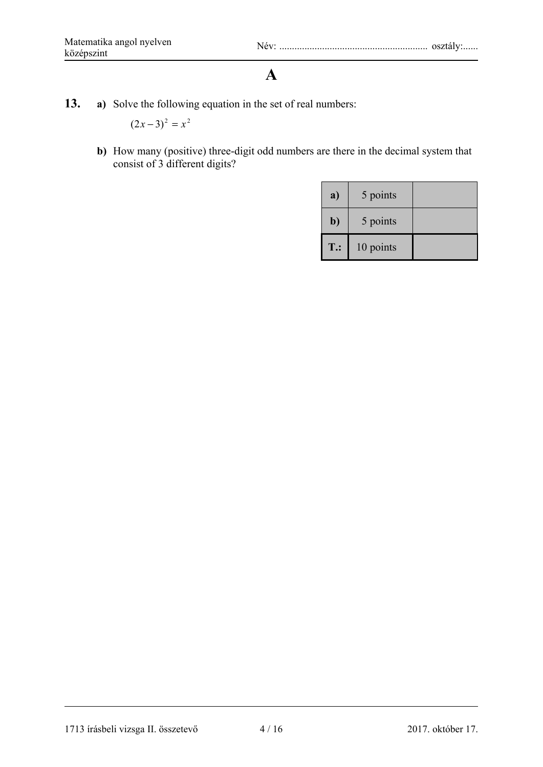#### **A**

**13. a)** Solve the following equation in the set of real numbers:

 $(2x-3)^2 = x^2$ 

**b**) How many (positive) three-digit odd numbers are there in the decimal system that consist of 3 different digits?

| a)           | 5 points  |  |
|--------------|-----------|--|
| $\mathbf{b}$ | 5 points  |  |
| $T$ .:       | 10 points |  |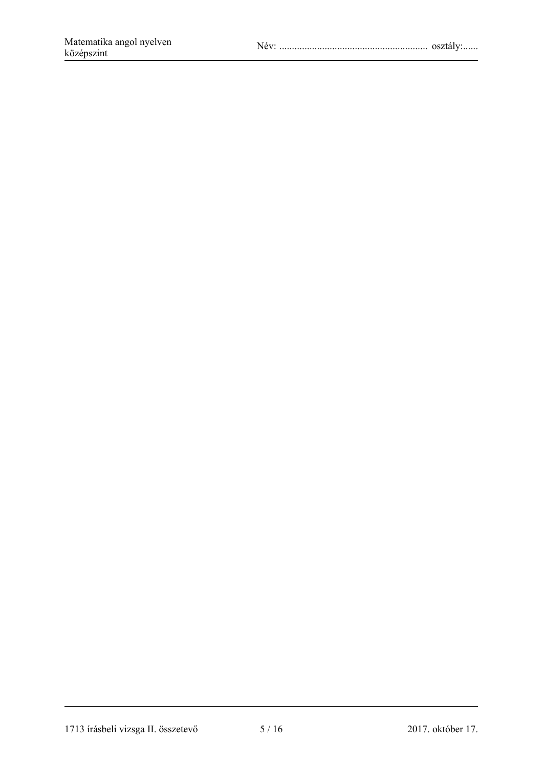1713 írásbeli vizsga II. összetevő 5 / 16 2017. október 17.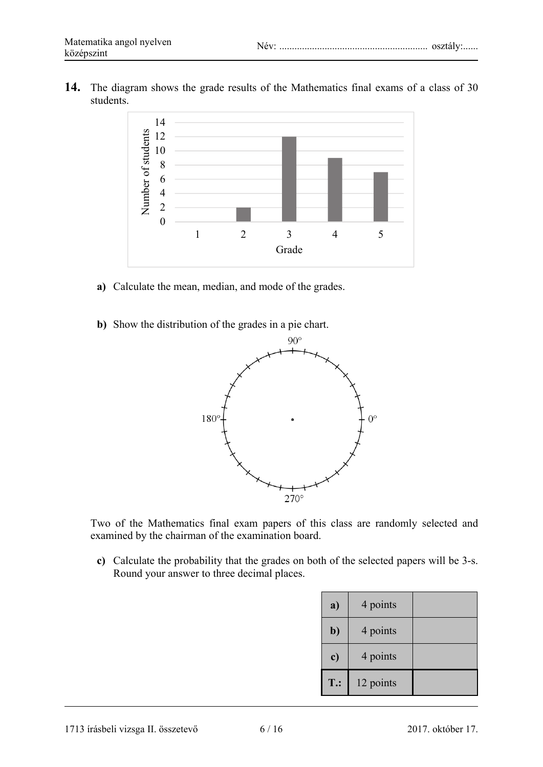**14.** The diagram shows the grade results of the Mathematics final exams of a class of 30 students.



- **a)** Calculate the mean, median, and mode of the grades.
- **b)** Show the distribution of the grades in a pie chart.



Two of the Mathematics final exam papers of this class are randomly selected and examined by the chairman of the examination board.

**c)** Calculate the probability that the grades on both of the selected papers will be 3-s. Round your answer to three decimal places.

| a)           | 4 points  |  |
|--------------|-----------|--|
| $\mathbf{b}$ | 4 points  |  |
| c)           | 4 points  |  |
| <b>T.:</b>   | 12 points |  |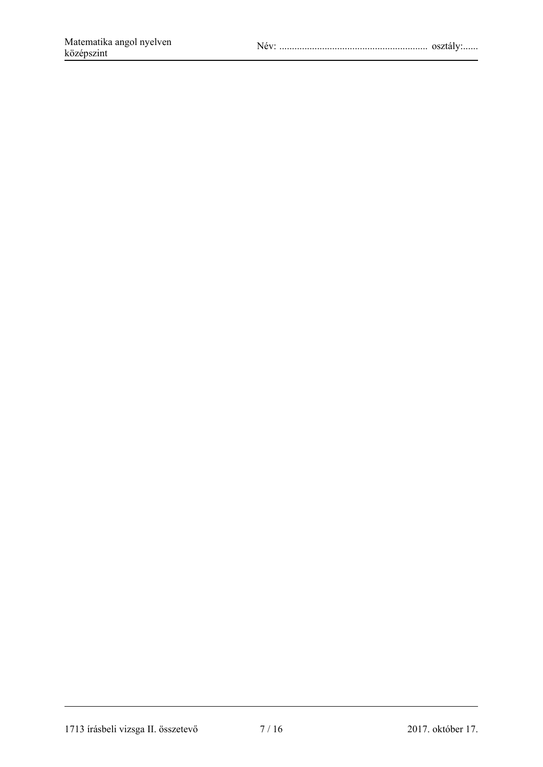1713 írásbeli vizsga II. összetevő 7 / 16 2017. október 17.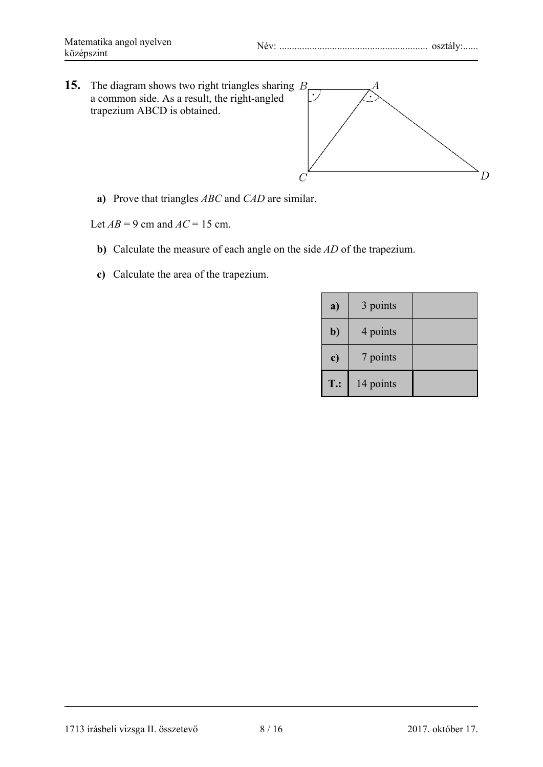**15.** The diagram shows two right triangles sharing B А  $\bullet$ a common side. As a result, the right-angled trapezium ABCD is obtained.

 $\overline{C}$ 

**a)** Prove that triangles *ABC* and *CAD* are similar.

Let  $AB = 9$  cm and  $AC = 15$  cm.

- **b)** Calculate the measure of each angle on the side *AD* of the trapezium.
- **c)** Calculate the area of the trapezium.

| a)     | 3 points  |  |
|--------|-----------|--|
| $b$    | 4 points  |  |
| c)     | 7 points  |  |
| $T$ .: | 14 points |  |

 $\overline{D}$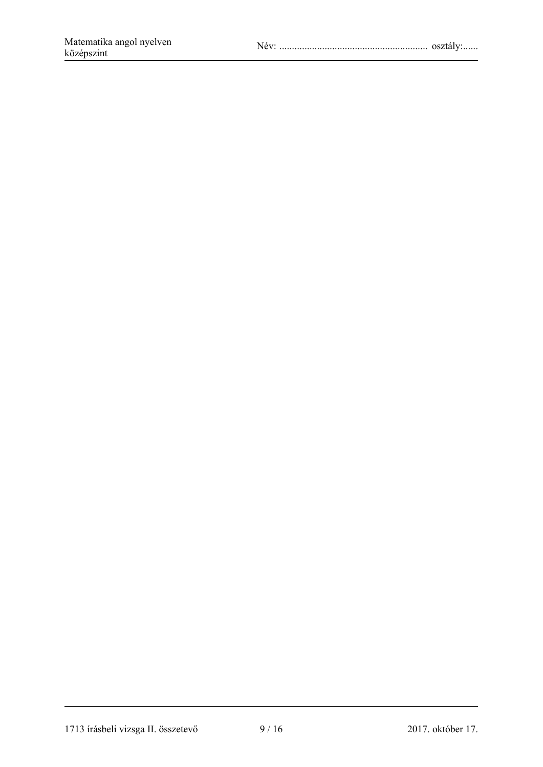1713 írásbeli vizsga II. összetevő 9 / 16 2017. október 17.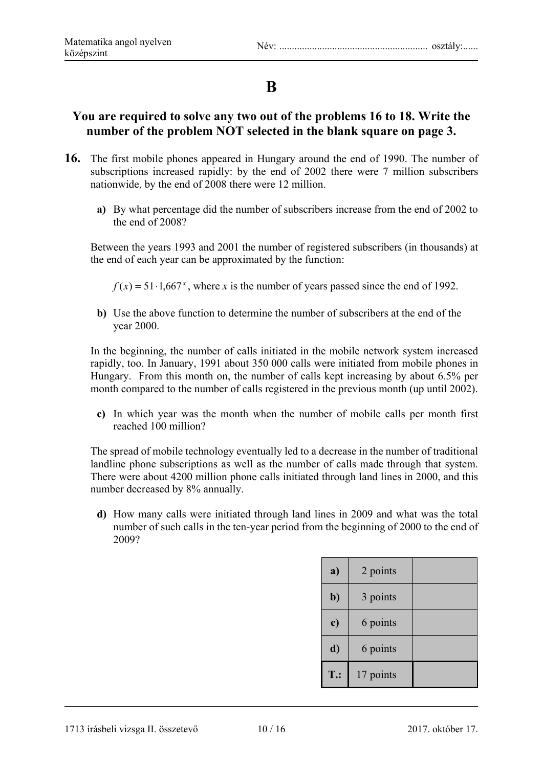#### **B**

#### **You are required to solve any two out of the problems 16 to 18. Write the number of the problem NOT selected in the blank square on page 3.**

- **16.** The first mobile phones appeared in Hungary around the end of 1990. The number of subscriptions increased rapidly: by the end of 2002 there were 7 million subscribers nationwide, by the end of 2008 there were 12 million.
	- **a)** By what percentage did the number of subscribers increase from the end of 2002 to the end of 2008?

Between the years 1993 and 2001 the number of registered subscribers (in thousands) at the end of each year can be approximated by the function:

 $f(x) = 51 \cdot 1.667^x$ , where *x* is the number of years passed since the end of 1992.

**b)** Use the above function to determine the number of subscribers at the end of the year 2000.

In the beginning, the number of calls initiated in the mobile network system increased rapidly, too. In January, 1991 about 350 000 calls were initiated from mobile phones in Hungary. From this month on, the number of calls kept increasing by about 6.5% per month compared to the number of calls registered in the previous month (up until 2002).

**c)** In which year was the month when the number of mobile calls per month first reached 100 million?

The spread of mobile technology eventually led to a decrease in the number of traditional landline phone subscriptions as well as the number of calls made through that system. There were about 4200 million phone calls initiated through land lines in 2000, and this number decreased by 8% annually.

**d)** How many calls were initiated through land lines in 2009 and what was the total number of such calls in the ten-year period from the beginning of 2000 to the end of 2009?

| a)     | 2 points  |  |
|--------|-----------|--|
| b)     | 3 points  |  |
| c)     | 6 points  |  |
| d)     | 6 points  |  |
| $T$ .: | 17 points |  |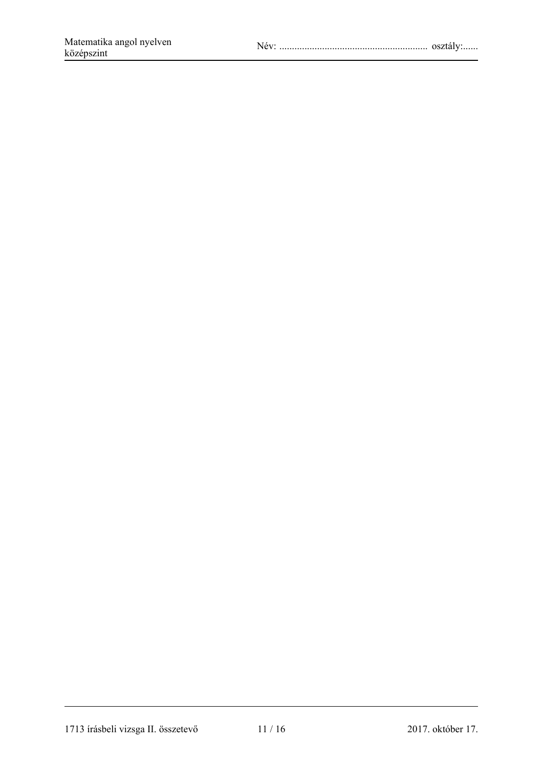1713 írásbeli vizsga II. összetevő 11 / 16 2017. október 17.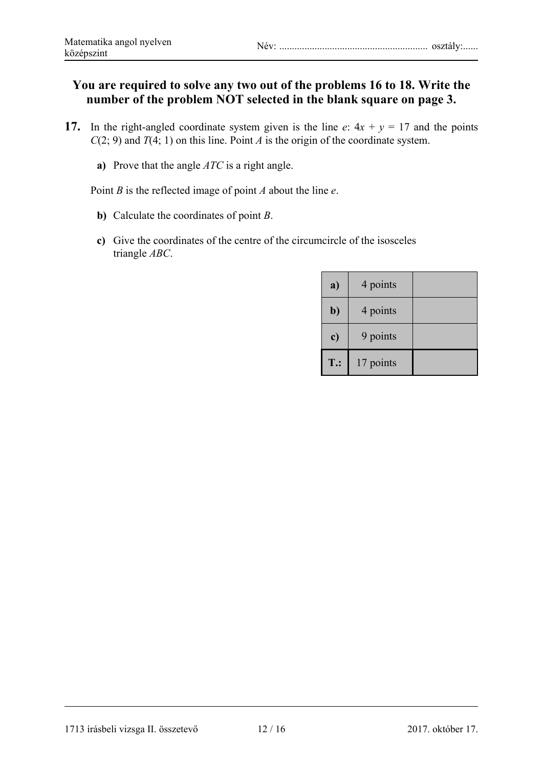#### **You are required to solve any two out of the problems 16 to 18. Write the number of the problem NOT selected in the blank square on page 3.**

- **17.** In the right-angled coordinate system given is the line  $e: 4x + y = 17$  and the points  $C(2, 9)$  and  $T(4, 1)$  on this line. Point *A* is the origin of the coordinate system.
	- **a)** Prove that the angle *ATC* is a right angle.

Point *B* is the reflected image of point *A* about the line *e*.

- **b)** Calculate the coordinates of point *B*.
- **c)** Give the coordinates of the centre of the circumcircle of the isosceles triangle *ABC*.

| a)     | 4 points  |  |
|--------|-----------|--|
| b)     | 4 points  |  |
| c)     | 9 points  |  |
| $T$ .: | 17 points |  |

<sup>1713</sup> írásbeli vizsga II. összetevő 12 / 16 2017. október 17.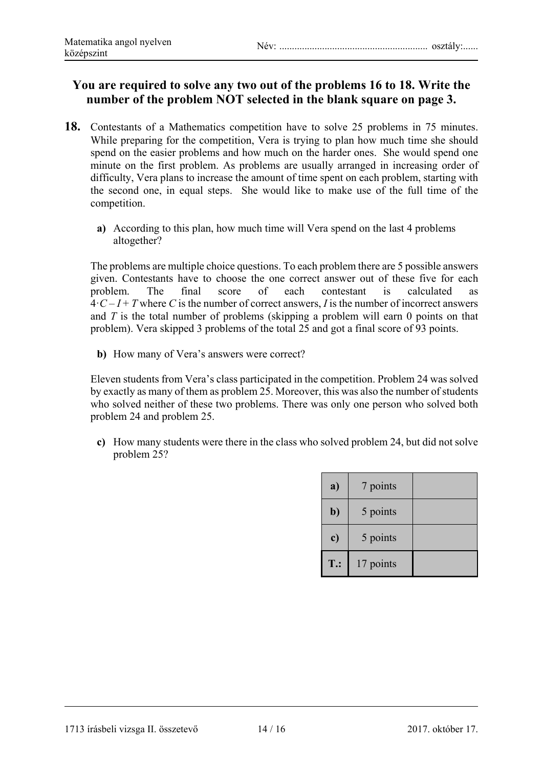#### **You are required to solve any two out of the problems 16 to 18. Write the number of the problem NOT selected in the blank square on page 3.**

- **18.** Contestants of a Mathematics competition have to solve 25 problems in 75 minutes. While preparing for the competition, Vera is trying to plan how much time she should spend on the easier problems and how much on the harder ones. She would spend one minute on the first problem. As problems are usually arranged in increasing order of difficulty, Vera plans to increase the amount of time spent on each problem, starting with the second one, in equal steps. She would like to make use of the full time of the competition.
	- **a)** According to this plan, how much time will Vera spend on the last 4 problems altogether?

The problems are multiple choice questions. To each problem there are 5 possible answers given. Contestants have to choose the one correct answer out of these five for each problem. The final score of each contestant is calculated as  $4 \cdot C - I + T$  where *C* is the number of correct answers, *I* is the number of incorrect answers and *T* is the total number of problems (skipping a problem will earn 0 points on that problem). Vera skipped 3 problems of the total 25 and got a final score of 93 points.

**b)** How many of Vera's answers were correct?

Eleven students from Vera's class participated in the competition. Problem 24 was solved by exactly as many of them as problem 25. Moreover, this was also the number of students who solved neither of these two problems. There was only one person who solved both problem 24 and problem 25.

**c)** How many students were there in the class who solved problem 24, but did not solve problem 25?

| a)         | 7 points  |  |
|------------|-----------|--|
| $b$        | 5 points  |  |
| c)         | 5 points  |  |
| <b>T.:</b> | 17 points |  |

1713 írásbeli vizsga II. összetevő 14 / 16 2017. október 17.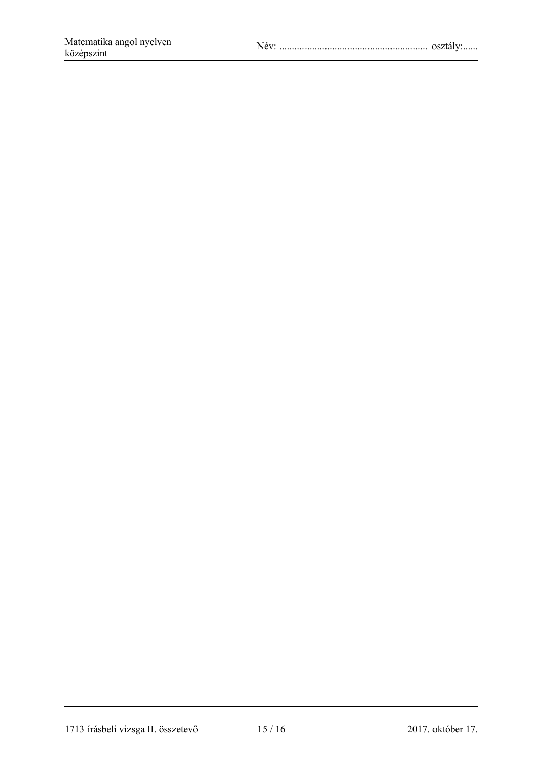1713 írásbeli vizsga II. összetevő 15 / 16 2017. október 17.